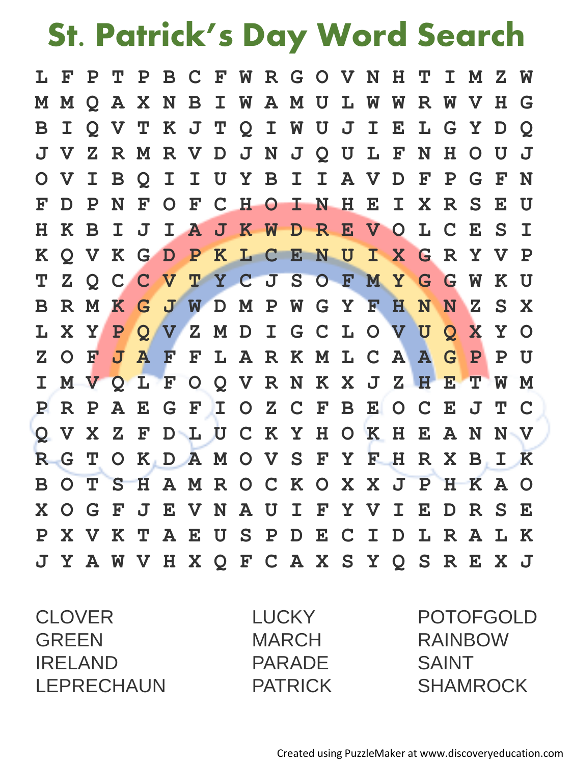## **St. Patrick's Day Word Search**

|                 |    |  | L F P T P B C F W R G O V N H T I M Z W |  |  |  |  |  |           |              |                |
|-----------------|----|--|-----------------------------------------|--|--|--|--|--|-----------|--------------|----------------|
|                 |    |  | M M Q A X N B I W A M U L W W R W V H G |  |  |  |  |  |           |              |                |
| $\bf{B}$        |    |  | I Q V T K J T Q I W U J I E L G Y D     |  |  |  |  |  |           |              | $\overline{Q}$ |
| $\mathbf{J}$    |    |  | VZRMRVDJNJQULFNH                        |  |  |  |  |  | O U       |              | - J            |
| $\mathbf{O}$    |    |  | VIBQIIUYBIIAVDFP                        |  |  |  |  |  | G -       | $\mathbf{F}$ | N              |
| ${\bf F}$       |    |  | D P N F O F C H O I N H E I X R S       |  |  |  |  |  |           | $\mathbf{E}$ | U              |
| $H_{\parallel}$ |    |  | K B I J I A J K W D R E V O L C         |  |  |  |  |  | E S       |              | $\mathbf I$    |
| $\bf K$         |    |  | Q V K G D P K L C E N U I X G R Y V P   |  |  |  |  |  |           |              |                |
| T               |    |  | ZOCCVTYCJSOFMYGGW                       |  |  |  |  |  |           | K U          |                |
| $\mathbf{B}$    |    |  | RMKGJWDMPWGYFHNNZ                       |  |  |  |  |  |           |              | S X            |
|                 |    |  | L X Y P Q V Z M D I G C L O V U Q X     |  |  |  |  |  |           |              | Y O            |
| $\mathbf{Z}$    | OF |  | JAFFLARKMLCAAGP                         |  |  |  |  |  |           |              | P U            |
| $\mathbf{I}$    |    |  | MVQLFOQVRNKXJZHETWM                     |  |  |  |  |  |           |              |                |
| $\mathbf{P}$    |    |  | R P A E G F I O Z C F B E O C E J T C   |  |  |  |  |  |           |              |                |
|                 |    |  | Q V X Z F D L U C K Y H O K H E A N     |  |  |  |  |  |           |              | $N - V$        |
| R.              |    |  | G T O K D A M O V S F Y F H R X B I K   |  |  |  |  |  |           |              |                |
|                 |    |  | BOTSHAMROCKOXXJPHKAO                    |  |  |  |  |  |           |              |                |
| $\mathbf{X}$    |    |  | O G F J E V N A U I F Y V I E D R S E   |  |  |  |  |  |           |              |                |
| $\mathbf{P}$    |    |  | X V K T A E U S P D E C I D L R         |  |  |  |  |  | ${\bf A}$ |              | L K            |
|                 |    |  | J Y A W V H X Q F C A X S Y Q S R E X J |  |  |  |  |  |           |              |                |

CLOVER LUCKY POTOFGOLD GREEN MARCH RAINBOW IRELAND PARADE SAINT LEPRECHAUN PATRICK SHAMROCK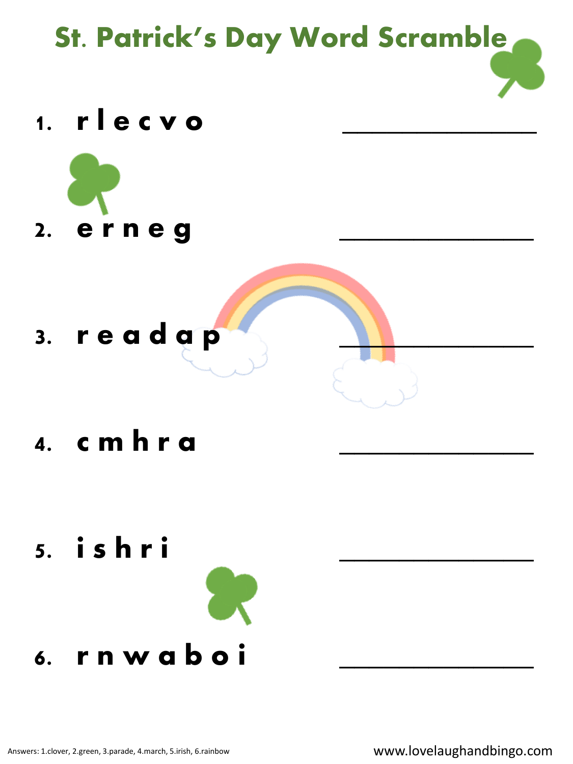

## **6. r n w a b o i \_\_\_\_\_\_\_\_\_\_\_\_\_**